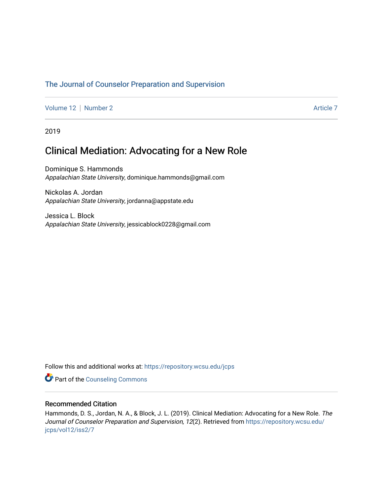## [The Journal of Counselor Preparation and Supervision](https://repository.wcsu.edu/jcps)

[Volume 12](https://repository.wcsu.edu/jcps/vol12) | [Number 2](https://repository.wcsu.edu/jcps/vol12/iss2) Article 7

2019

# Clinical Mediation: Advocating for a New Role

Dominique S. Hammonds Appalachian State University, dominique.hammonds@gmail.com

Nickolas A. Jordan Appalachian State University, jordanna@appstate.edu

Jessica L. Block Appalachian State University, jessicablock0228@gmail.com

Follow this and additional works at: [https://repository.wcsu.edu/jcps](https://repository.wcsu.edu/jcps?utm_source=repository.wcsu.edu%2Fjcps%2Fvol12%2Fiss2%2F7&utm_medium=PDF&utm_campaign=PDFCoverPages) 

**Part of the Counseling Commons** 

## Recommended Citation

Hammonds, D. S., Jordan, N. A., & Block, J. L. (2019). Clinical Mediation: Advocating for a New Role. The Journal of Counselor Preparation and Supervision, 12(2). Retrieved from [https://repository.wcsu.edu/](https://repository.wcsu.edu/jcps/vol12/iss2/7?utm_source=repository.wcsu.edu%2Fjcps%2Fvol12%2Fiss2%2F7&utm_medium=PDF&utm_campaign=PDFCoverPages) [jcps/vol12/iss2/7](https://repository.wcsu.edu/jcps/vol12/iss2/7?utm_source=repository.wcsu.edu%2Fjcps%2Fvol12%2Fiss2%2F7&utm_medium=PDF&utm_campaign=PDFCoverPages)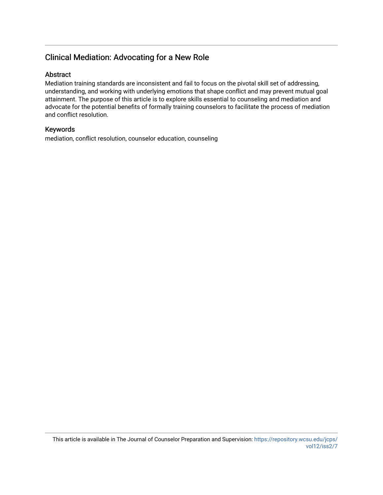## Clinical Mediation: Advocating for a New Role

## Abstract

Mediation training standards are inconsistent and fail to focus on the pivotal skill set of addressing, understanding, and working with underlying emotions that shape conflict and may prevent mutual goal attainment. The purpose of this article is to explore skills essential to counseling and mediation and advocate for the potential benefits of formally training counselors to facilitate the process of mediation and conflict resolution.

## Keywords

mediation, conflict resolution, counselor education, counseling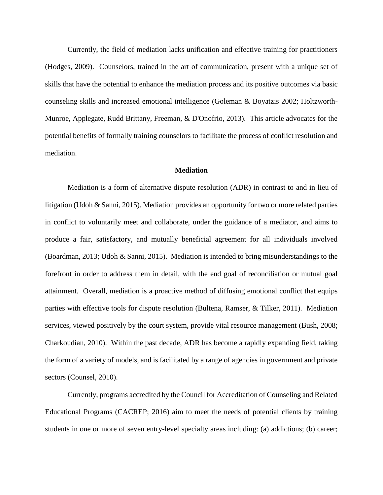Currently, the field of mediation lacks unification and effective training for practitioners (Hodges, 2009). Counselors, trained in the art of communication, present with a unique set of skills that have the potential to enhance the mediation process and its positive outcomes via basic counseling skills and increased emotional intelligence (Goleman & Boyatzis 2002; Holtzworth-Munroe, Applegate, Rudd Brittany, Freeman, & D'Onofrio, 2013). This article advocates for the potential benefits of formally training counselors to facilitate the process of conflict resolution and mediation.

#### **Mediation**

Mediation is a form of alternative dispute resolution (ADR) in contrast to and in lieu of litigation (Udoh & Sanni, 2015). Mediation provides an opportunity for two or more related parties in conflict to voluntarily meet and collaborate, under the guidance of a mediator, and aims to produce a fair, satisfactory, and mutually beneficial agreement for all individuals involved (Boardman, 2013; Udoh & Sanni, 2015). Mediation is intended to bring misunderstandings to the forefront in order to address them in detail, with the end goal of reconciliation or mutual goal attainment. Overall, mediation is a proactive method of diffusing emotional conflict that equips parties with effective tools for dispute resolution (Bultena, Ramser, & Tilker, 2011). Mediation services, viewed positively by the court system, provide vital resource management (Bush, 2008; Charkoudian, 2010). Within the past decade, ADR has become a rapidly expanding field, taking the form of a variety of models, and is facilitated by a range of agencies in government and private sectors (Counsel, 2010).

Currently, programs accredited by the Council for Accreditation of Counseling and Related Educational Programs (CACREP; 2016) aim to meet the needs of potential clients by training students in one or more of seven entry-level specialty areas including: (a) addictions; (b) career;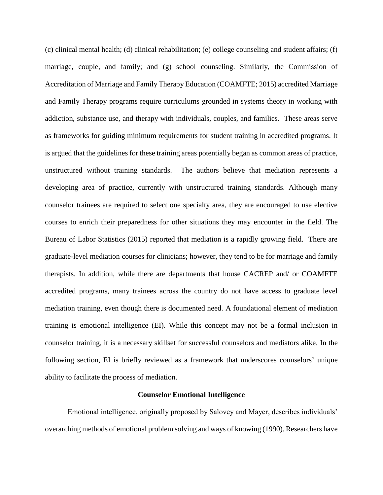(c) clinical mental health; (d) clinical rehabilitation; (e) college counseling and student affairs; (f) marriage, couple, and family; and (g) school counseling. Similarly, the Commission of Accreditation of Marriage and Family Therapy Education (COAMFTE; 2015) accredited Marriage and Family Therapy programs require curriculums grounded in systems theory in working with addiction, substance use, and therapy with individuals, couples, and families. These areas serve as frameworks for guiding minimum requirements for student training in accredited programs. It is argued that the guidelines for these training areas potentially began as common areas of practice, unstructured without training standards. The authors believe that mediation represents a developing area of practice, currently with unstructured training standards. Although many counselor trainees are required to select one specialty area, they are encouraged to use elective courses to enrich their preparedness for other situations they may encounter in the field. The Bureau of Labor Statistics (2015) reported that mediation is a rapidly growing field. There are graduate-level mediation courses for clinicians; however, they tend to be for marriage and family therapists. In addition, while there are departments that house CACREP and/ or COAMFTE accredited programs, many trainees across the country do not have access to graduate level mediation training, even though there is documented need. A foundational element of mediation training is emotional intelligence (EI). While this concept may not be a formal inclusion in counselor training, it is a necessary skillset for successful counselors and mediators alike. In the following section, EI is briefly reviewed as a framework that underscores counselors' unique ability to facilitate the process of mediation.

#### **Counselor Emotional Intelligence**

Emotional intelligence, originally proposed by Salovey and Mayer, describes individuals' overarching methods of emotional problem solving and ways of knowing (1990). Researchers have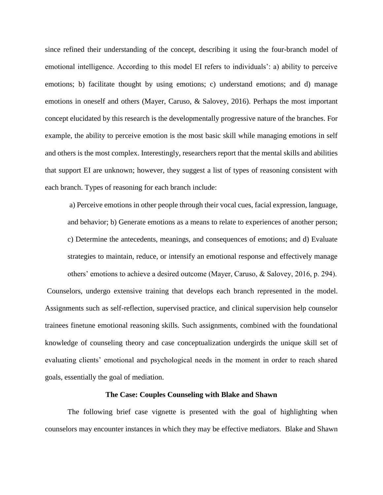since refined their understanding of the concept, describing it using the four-branch model of emotional intelligence. According to this model EI refers to individuals': a) ability to perceive emotions; b) facilitate thought by using emotions; c) understand emotions; and d) manage emotions in oneself and others (Mayer, Caruso, & Salovey, 2016). Perhaps the most important concept elucidated by this research is the developmentally progressive nature of the branches. For example, the ability to perceive emotion is the most basic skill while managing emotions in self and others is the most complex. Interestingly, researchers report that the mental skills and abilities that support EI are unknown; however, they suggest a list of types of reasoning consistent with each branch. Types of reasoning for each branch include:

a) Perceive emotions in other people through their vocal cues, facial expression, language, and behavior; b) Generate emotions as a means to relate to experiences of another person; c) Determine the antecedents, meanings, and consequences of emotions; and d) Evaluate strategies to maintain, reduce, or intensify an emotional response and effectively manage others' emotions to achieve a desired outcome (Mayer, Caruso, & Salovey, 2016, p. 294). Counselors, undergo extensive training that develops each branch represented in the model. Assignments such as self-reflection, supervised practice, and clinical supervision help counselor trainees finetune emotional reasoning skills. Such assignments, combined with the foundational knowledge of counseling theory and case conceptualization undergirds the unique skill set of evaluating clients' emotional and psychological needs in the moment in order to reach shared goals, essentially the goal of mediation.

#### **The Case: Couples Counseling with Blake and Shawn**

The following brief case vignette is presented with the goal of highlighting when counselors may encounter instances in which they may be effective mediators. Blake and Shawn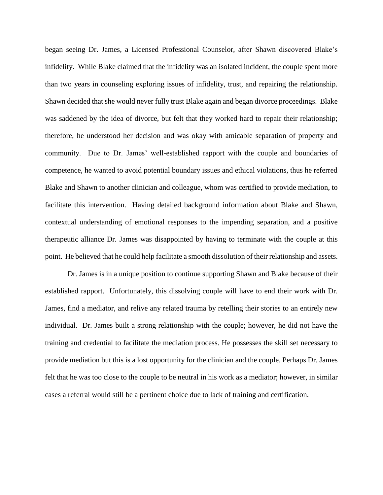began seeing Dr. James, a Licensed Professional Counselor, after Shawn discovered Blake's infidelity. While Blake claimed that the infidelity was an isolated incident, the couple spent more than two years in counseling exploring issues of infidelity, trust, and repairing the relationship. Shawn decided that she would never fully trust Blake again and began divorce proceedings. Blake was saddened by the idea of divorce, but felt that they worked hard to repair their relationship; therefore, he understood her decision and was okay with amicable separation of property and community. Due to Dr. James' well-established rapport with the couple and boundaries of competence, he wanted to avoid potential boundary issues and ethical violations, thus he referred Blake and Shawn to another clinician and colleague, whom was certified to provide mediation, to facilitate this intervention. Having detailed background information about Blake and Shawn, contextual understanding of emotional responses to the impending separation, and a positive therapeutic alliance Dr. James was disappointed by having to terminate with the couple at this point. He believed that he could help facilitate a smooth dissolution of their relationship and assets.

Dr. James is in a unique position to continue supporting Shawn and Blake because of their established rapport. Unfortunately, this dissolving couple will have to end their work with Dr. James, find a mediator, and relive any related trauma by retelling their stories to an entirely new individual. Dr. James built a strong relationship with the couple; however, he did not have the training and credential to facilitate the mediation process. He possesses the skill set necessary to provide mediation but this is a lost opportunity for the clinician and the couple. Perhaps Dr. James felt that he was too close to the couple to be neutral in his work as a mediator; however, in similar cases a referral would still be a pertinent choice due to lack of training and certification.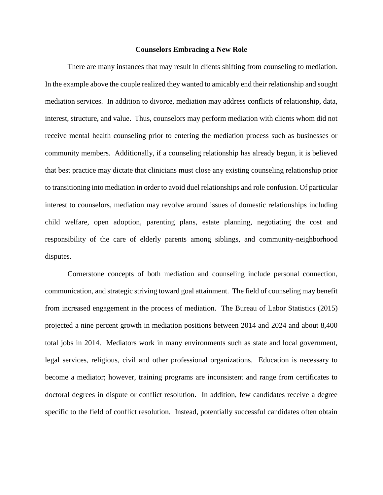#### **Counselors Embracing a New Role**

There are many instances that may result in clients shifting from counseling to mediation. In the example above the couple realized they wanted to amicably end their relationship and sought mediation services. In addition to divorce, mediation may address conflicts of relationship, data, interest, structure, and value. Thus, counselors may perform mediation with clients whom did not receive mental health counseling prior to entering the mediation process such as businesses or community members. Additionally, if a counseling relationship has already begun, it is believed that best practice may dictate that clinicians must close any existing counseling relationship prior to transitioning into mediation in order to avoid duel relationships and role confusion. Of particular interest to counselors, mediation may revolve around issues of domestic relationships including child welfare, open adoption, parenting plans, estate planning, negotiating the cost and responsibility of the care of elderly parents among siblings, and community-neighborhood disputes.

Cornerstone concepts of both mediation and counseling include personal connection, communication, and strategic striving toward goal attainment. The field of counseling may benefit from increased engagement in the process of mediation. The Bureau of Labor Statistics (2015) projected a nine percent growth in mediation positions between 2014 and 2024 and about 8,400 total jobs in 2014. Mediators work in many environments such as state and local government, legal services, religious, civil and other professional organizations. Education is necessary to become a mediator; however, training programs are inconsistent and range from certificates to doctoral degrees in dispute or conflict resolution. In addition, few candidates receive a degree specific to the field of conflict resolution. Instead, potentially successful candidates often obtain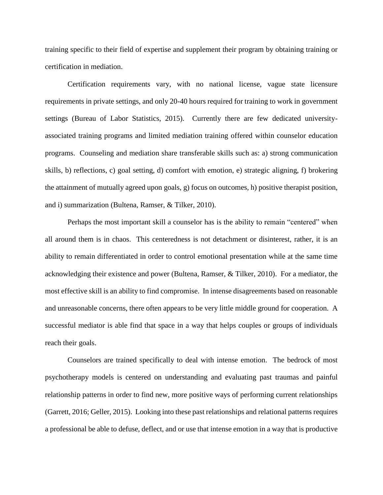training specific to their field of expertise and supplement their program by obtaining training or certification in mediation.

Certification requirements vary, with no national license, vague state licensure requirements in private settings, and only 20-40 hours required for training to work in government settings (Bureau of Labor Statistics, 2015). Currently there are few dedicated universityassociated training programs and limited mediation training offered within counselor education programs. Counseling and mediation share transferable skills such as: a) strong communication skills, b) reflections, c) goal setting, d) comfort with emotion, e) strategic aligning, f) brokering the attainment of mutually agreed upon goals, g) focus on outcomes, h) positive therapist position, and i) summarization (Bultena, Ramser, & Tilker, 2010).

 Perhaps the most important skill a counselor has is the ability to remain "centered" when all around them is in chaos. This centeredness is not detachment or disinterest, rather, it is an ability to remain differentiated in order to control emotional presentation while at the same time acknowledging their existence and power (Bultena, Ramser, & Tilker, 2010). For a mediator, the most effective skill is an ability to find compromise. In intense disagreements based on reasonable and unreasonable concerns, there often appears to be very little middle ground for cooperation. A successful mediator is able find that space in a way that helps couples or groups of individuals reach their goals.

 Counselors are trained specifically to deal with intense emotion. The bedrock of most psychotherapy models is centered on understanding and evaluating past traumas and painful relationship patterns in order to find new, more positive ways of performing current relationships (Garrett, 2016; Geller, 2015). Looking into these past relationships and relational patterns requires a professional be able to defuse, deflect, and or use that intense emotion in a way that is productive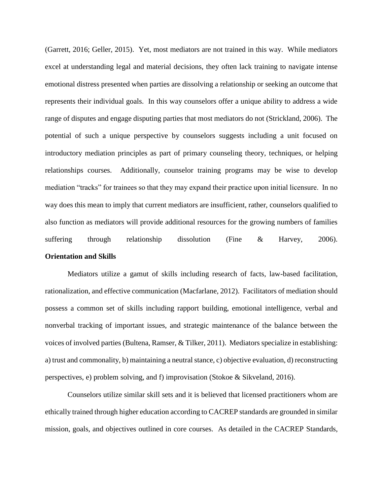(Garrett, 2016; Geller, 2015). Yet, most mediators are not trained in this way. While mediators excel at understanding legal and material decisions, they often lack training to navigate intense emotional distress presented when parties are dissolving a relationship or seeking an outcome that represents their individual goals. In this way counselors offer a unique ability to address a wide range of disputes and engage disputing parties that most mediators do not (Strickland, 2006). The potential of such a unique perspective by counselors suggests including a unit focused on introductory mediation principles as part of primary counseling theory, techniques, or helping relationships courses. Additionally, counselor training programs may be wise to develop mediation "tracks" for trainees so that they may expand their practice upon initial licensure. In no way does this mean to imply that current mediators are insufficient, rather, counselors qualified to also function as mediators will provide additional resources for the growing numbers of families suffering through relationship dissolution (Fine & Harvey, 2006). **Orientation and Skills**

Mediators utilize a gamut of skills including research of facts, law-based facilitation, rationalization, and effective communication (Macfarlane, 2012). Facilitators of mediation should possess a common set of skills including rapport building, emotional intelligence, verbal and nonverbal tracking of important issues, and strategic maintenance of the balance between the voices of involved parties (Bultena, Ramser, & Tilker, 2011). Mediators specialize in establishing: a) trust and commonality, b) maintaining a neutral stance, c) objective evaluation, d) reconstructing perspectives, e) problem solving, and f) improvisation (Stokoe & Sikveland, 2016).

Counselors utilize similar skill sets and it is believed that licensed practitioners whom are ethically trained through higher education according to CACREP standards are grounded in similar mission, goals, and objectives outlined in core courses. As detailed in the CACREP Standards,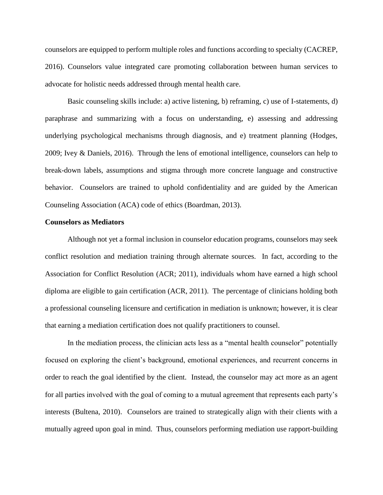counselors are equipped to perform multiple roles and functions according to specialty (CACREP, 2016). Counselors value integrated care promoting collaboration between human services to advocate for holistic needs addressed through mental health care.

Basic counseling skills include: a) active listening, b) reframing, c) use of I-statements, d) paraphrase and summarizing with a focus on understanding, e) assessing and addressing underlying psychological mechanisms through diagnosis, and e) treatment planning (Hodges, 2009; Ivey & Daniels, 2016). Through the lens of emotional intelligence, counselors can help to break-down labels, assumptions and stigma through more concrete language and constructive behavior. Counselors are trained to uphold confidentiality and are guided by the American Counseling Association (ACA) code of ethics (Boardman, 2013).

#### **Counselors as Mediators**

Although not yet a formal inclusion in counselor education programs, counselors may seek conflict resolution and mediation training through alternate sources. In fact, according to the Association for Conflict Resolution (ACR; 2011), individuals whom have earned a high school diploma are eligible to gain certification (ACR, 2011). The percentage of clinicians holding both a professional counseling licensure and certification in mediation is unknown; however, it is clear that earning a mediation certification does not qualify practitioners to counsel.

In the mediation process, the clinician acts less as a "mental health counselor" potentially focused on exploring the client's background, emotional experiences, and recurrent concerns in order to reach the goal identified by the client. Instead, the counselor may act more as an agent for all parties involved with the goal of coming to a mutual agreement that represents each party's interests (Bultena, 2010). Counselors are trained to strategically align with their clients with a mutually agreed upon goal in mind. Thus, counselors performing mediation use rapport-building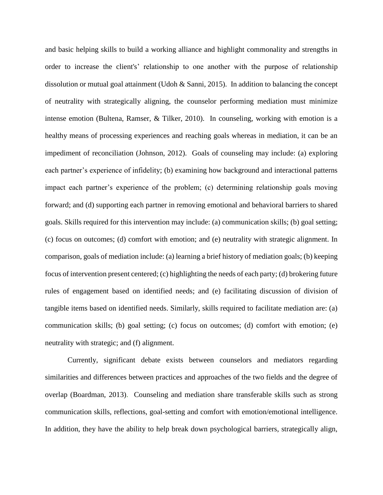and basic helping skills to build a working alliance and highlight commonality and strengths in order to increase the client's' relationship to one another with the purpose of relationship dissolution or mutual goal attainment (Udoh & Sanni, 2015). In addition to balancing the concept of neutrality with strategically aligning, the counselor performing mediation must minimize intense emotion (Bultena, Ramser, & Tilker, 2010). In counseling, working with emotion is a healthy means of processing experiences and reaching goals whereas in mediation, it can be an impediment of reconciliation (Johnson, 2012). Goals of counseling may include: (a) exploring each partner's experience of infidelity; (b) examining how background and interactional patterns impact each partner's experience of the problem; (c) determining relationship goals moving forward; and (d) supporting each partner in removing emotional and behavioral barriers to shared goals. Skills required for this intervention may include: (a) communication skills; (b) goal setting; (c) focus on outcomes; (d) comfort with emotion; and (e) neutrality with strategic alignment. In comparison, goals of mediation include: (a) learning a brief history of mediation goals; (b) keeping focus of intervention present centered; (c) highlighting the needs of each party; (d) brokering future rules of engagement based on identified needs; and (e) facilitating discussion of division of tangible items based on identified needs. Similarly, skills required to facilitate mediation are: (a) communication skills; (b) goal setting; (c) focus on outcomes; (d) comfort with emotion; (e) neutrality with strategic; and (f) alignment.

Currently, significant debate exists between counselors and mediators regarding similarities and differences between practices and approaches of the two fields and the degree of overlap (Boardman, 2013). Counseling and mediation share transferable skills such as strong communication skills, reflections, goal-setting and comfort with emotion/emotional intelligence. In addition, they have the ability to help break down psychological barriers, strategically align,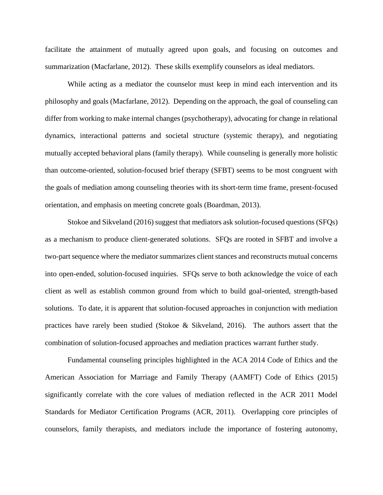facilitate the attainment of mutually agreed upon goals, and focusing on outcomes and summarization (Macfarlane, 2012). These skills exemplify counselors as ideal mediators.

While acting as a mediator the counselor must keep in mind each intervention and its philosophy and goals (Macfarlane, 2012). Depending on the approach, the goal of counseling can differ from working to make internal changes (psychotherapy), advocating for change in relational dynamics, interactional patterns and societal structure (systemic therapy), and negotiating mutually accepted behavioral plans (family therapy). While counseling is generally more holistic than outcome-oriented, solution-focused brief therapy (SFBT) seems to be most congruent with the goals of mediation among counseling theories with its short-term time frame, present-focused orientation, and emphasis on meeting concrete goals (Boardman, 2013).

Stokoe and Sikveland (2016) suggest that mediators ask solution-focused questions (SFQs) as a mechanism to produce client-generated solutions. SFQs are rooted in SFBT and involve a two-part sequence where the mediator summarizes client stances and reconstructs mutual concerns into open-ended, solution-focused inquiries. SFQs serve to both acknowledge the voice of each client as well as establish common ground from which to build goal-oriented, strength-based solutions. To date, it is apparent that solution-focused approaches in conjunction with mediation practices have rarely been studied (Stokoe & Sikveland, 2016). The authors assert that the combination of solution-focused approaches and mediation practices warrant further study.

Fundamental counseling principles highlighted in the ACA 2014 Code of Ethics and the American Association for Marriage and Family Therapy (AAMFT) Code of Ethics (2015) significantly correlate with the core values of mediation reflected in the ACR 2011 Model Standards for Mediator Certification Programs (ACR, 2011). Overlapping core principles of counselors, family therapists, and mediators include the importance of fostering autonomy,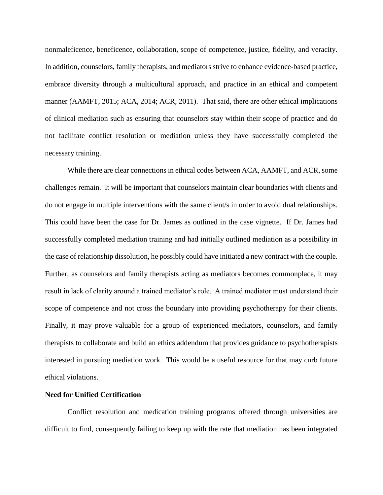nonmaleficence, beneficence, collaboration, scope of competence, justice, fidelity, and veracity. In addition, counselors, family therapists, and mediators strive to enhance evidence-based practice, embrace diversity through a multicultural approach, and practice in an ethical and competent manner (AAMFT, 2015; ACA, 2014; ACR, 2011). That said, there are other ethical implications of clinical mediation such as ensuring that counselors stay within their scope of practice and do not facilitate conflict resolution or mediation unless they have successfully completed the necessary training.

While there are clear connections in ethical codes between ACA, AAMFT, and ACR, some challenges remain. It will be important that counselors maintain clear boundaries with clients and do not engage in multiple interventions with the same client/s in order to avoid dual relationships. This could have been the case for Dr. James as outlined in the case vignette. If Dr. James had successfully completed mediation training and had initially outlined mediation as a possibility in the case of relationship dissolution, he possibly could have initiated a new contract with the couple. Further, as counselors and family therapists acting as mediators becomes commonplace, it may result in lack of clarity around a trained mediator's role. A trained mediator must understand their scope of competence and not cross the boundary into providing psychotherapy for their clients. Finally, it may prove valuable for a group of experienced mediators, counselors, and family therapists to collaborate and build an ethics addendum that provides guidance to psychotherapists interested in pursuing mediation work. This would be a useful resource for that may curb future ethical violations.

### **Need for Unified Certification**

Conflict resolution and medication training programs offered through universities are difficult to find, consequently failing to keep up with the rate that mediation has been integrated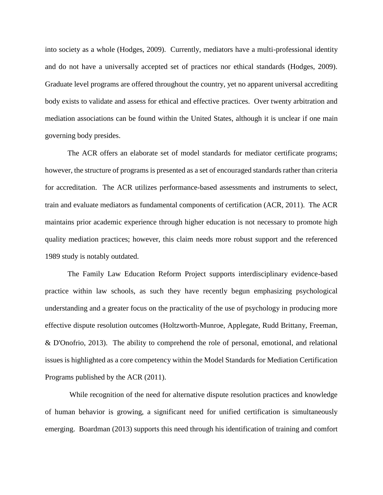into society as a whole (Hodges, 2009). Currently, mediators have a multi-professional identity and do not have a universally accepted set of practices nor ethical standards (Hodges, 2009). Graduate level programs are offered throughout the country, yet no apparent universal accrediting body exists to validate and assess for ethical and effective practices. Over twenty arbitration and mediation associations can be found within the United States, although it is unclear if one main governing body presides.

The ACR offers an elaborate set of model standards for mediator certificate programs; however, the structure of programs is presented as a set of encouraged standards rather than criteria for accreditation. The ACR utilizes performance-based assessments and instruments to select, train and evaluate mediators as fundamental components of certification (ACR, 2011). The ACR maintains prior academic experience through higher education is not necessary to promote high quality mediation practices; however, this claim needs more robust support and the referenced 1989 study is notably outdated.

The Family Law Education Reform Project supports interdisciplinary evidence-based practice within law schools, as such they have recently begun emphasizing psychological understanding and a greater focus on the practicality of the use of psychology in producing more effective dispute resolution outcomes (Holtzworth-Munroe, Applegate, Rudd Brittany, Freeman, & D'Onofrio, 2013). The ability to comprehend the role of personal, emotional, and relational issues is highlighted as a core competency within the Model Standards for Mediation Certification Programs published by the ACR (2011).

While recognition of the need for alternative dispute resolution practices and knowledge of human behavior is growing, a significant need for unified certification is simultaneously emerging. Boardman (2013) supports this need through his identification of training and comfort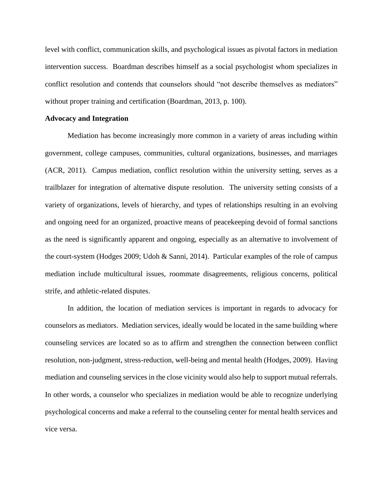level with conflict, communication skills, and psychological issues as pivotal factors in mediation intervention success. Boardman describes himself as a social psychologist whom specializes in conflict resolution and contends that counselors should "not describe themselves as mediators" without proper training and certification (Boardman, 2013, p. 100).

#### **Advocacy and Integration**

Mediation has become increasingly more common in a variety of areas including within government, college campuses, communities, cultural organizations, businesses, and marriages (ACR, 2011). Campus mediation, conflict resolution within the university setting, serves as a trailblazer for integration of alternative dispute resolution. The university setting consists of a variety of organizations, levels of hierarchy, and types of relationships resulting in an evolving and ongoing need for an organized, proactive means of peacekeeping devoid of formal sanctions as the need is significantly apparent and ongoing, especially as an alternative to involvement of the court-system (Hodges 2009; Udoh & Sanni, 2014). Particular examples of the role of campus mediation include multicultural issues, roommate disagreements, religious concerns, political strife, and athletic-related disputes.

In addition, the location of mediation services is important in regards to advocacy for counselors as mediators. Mediation services, ideally would be located in the same building where counseling services are located so as to affirm and strengthen the connection between conflict resolution, non-judgment, stress-reduction, well-being and mental health (Hodges, 2009). Having mediation and counseling services in the close vicinity would also help to support mutual referrals. In other words, a counselor who specializes in mediation would be able to recognize underlying psychological concerns and make a referral to the counseling center for mental health services and vice versa.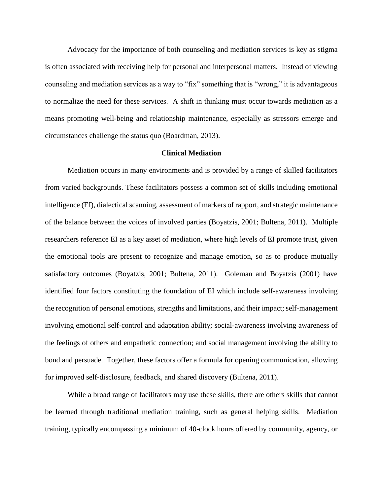Advocacy for the importance of both counseling and mediation services is key as stigma is often associated with receiving help for personal and interpersonal matters. Instead of viewing counseling and mediation services as a way to "fix" something that is "wrong," it is advantageous to normalize the need for these services. A shift in thinking must occur towards mediation as a means promoting well-being and relationship maintenance, especially as stressors emerge and circumstances challenge the status quo (Boardman, 2013).

#### **Clinical Mediation**

Mediation occurs in many environments and is provided by a range of skilled facilitators from varied backgrounds. These facilitators possess a common set of skills including emotional intelligence (EI), dialectical scanning, assessment of markers of rapport, and strategic maintenance of the balance between the voices of involved parties (Boyatzis, 2001; Bultena, 2011). Multiple researchers reference EI as a key asset of mediation, where high levels of EI promote trust, given the emotional tools are present to recognize and manage emotion, so as to produce mutually satisfactory outcomes (Boyatzis, 2001; Bultena, 2011). Goleman and Boyatzis (2001) have identified four factors constituting the foundation of EI which include self-awareness involving the recognition of personal emotions, strengths and limitations, and their impact; self-management involving emotional self-control and adaptation ability; social-awareness involving awareness of the feelings of others and empathetic connection; and social management involving the ability to bond and persuade. Together, these factors offer a formula for opening communication, allowing for improved self-disclosure, feedback, and shared discovery (Bultena, 2011).

While a broad range of facilitators may use these skills, there are others skills that cannot be learned through traditional mediation training, such as general helping skills. Mediation training, typically encompassing a minimum of 40-clock hours offered by community, agency, or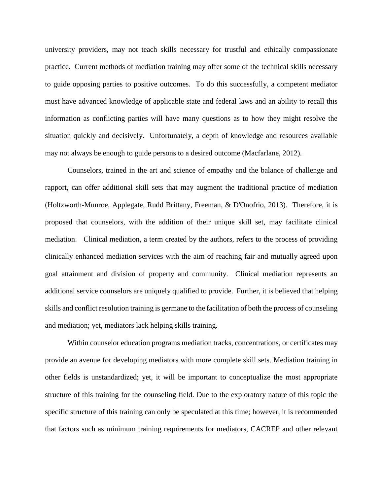university providers, may not teach skills necessary for trustful and ethically compassionate practice. Current methods of mediation training may offer some of the technical skills necessary to guide opposing parties to positive outcomes. To do this successfully, a competent mediator must have advanced knowledge of applicable state and federal laws and an ability to recall this information as conflicting parties will have many questions as to how they might resolve the situation quickly and decisively. Unfortunately, a depth of knowledge and resources available may not always be enough to guide persons to a desired outcome (Macfarlane, 2012).

Counselors, trained in the art and science of empathy and the balance of challenge and rapport, can offer additional skill sets that may augment the traditional practice of mediation (Holtzworth-Munroe, Applegate, Rudd Brittany, Freeman, & D'Onofrio, 2013). Therefore, it is proposed that counselors, with the addition of their unique skill set, may facilitate clinical mediation. Clinical mediation, a term created by the authors, refers to the process of providing clinically enhanced mediation services with the aim of reaching fair and mutually agreed upon goal attainment and division of property and community. Clinical mediation represents an additional service counselors are uniquely qualified to provide. Further, it is believed that helping skills and conflict resolution training is germane to the facilitation of both the process of counseling and mediation; yet, mediators lack helping skills training.

Within counselor education programs mediation tracks, concentrations, or certificates may provide an avenue for developing mediators with more complete skill sets. Mediation training in other fields is unstandardized; yet, it will be important to conceptualize the most appropriate structure of this training for the counseling field. Due to the exploratory nature of this topic the specific structure of this training can only be speculated at this time; however, it is recommended that factors such as minimum training requirements for mediators, CACREP and other relevant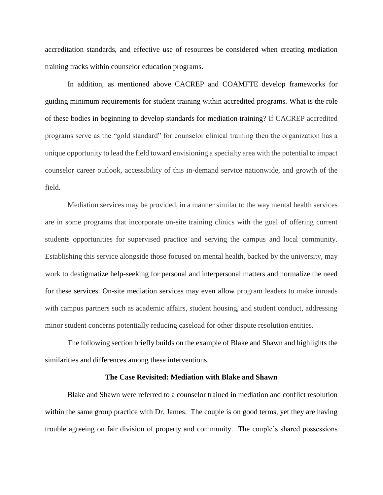accreditation standards, and effective use of resources be considered when creating mediation training tracks within counselor education programs.

In addition, as mentioned above CACREP and COAMFTE develop frameworks for guiding minimum requirements for student training within accredited programs. What is the role of these bodies in beginning to develop standards for mediation training? If CACREP accredited programs serve as the "gold standard" for counselor clinical training then the organization has a unique opportunity to lead the field toward envisioning a specialty area with the potential to impact counselor career outlook, accessibility of this in-demand service nationwide, and growth of the field.

Mediation services may be provided, in a manner similar to the way mental health services are in some programs that incorporate on-site training clinics with the goal of offering current students opportunities for supervised practice and serving the campus and local community. Establishing this service alongside those focused on mental health, backed by the university, may work to destigmatize help-seeking for personal and interpersonal matters and normalize the need for these services. On-site mediation services may even allow program leaders to make inroads with campus partners such as academic affairs, student housing, and student conduct, addressing minor student concerns potentially reducing caseload for other dispute resolution entities.

The following section briefly builds on the example of Blake and Shawn and highlights the similarities and differences among these interventions.

#### **The Case Revisited: Mediation with Blake and Shawn**

Blake and Shawn were referred to a counselor trained in mediation and conflict resolution within the same group practice with Dr. James. The couple is on good terms, yet they are having trouble agreeing on fair division of property and community. The couple's shared possessions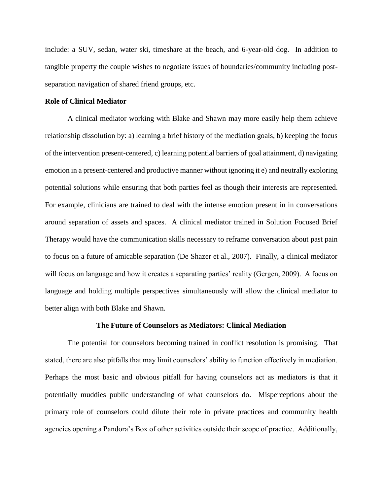include: a SUV, sedan, water ski, timeshare at the beach, and 6-year-old dog. In addition to tangible property the couple wishes to negotiate issues of boundaries/community including postseparation navigation of shared friend groups, etc.

#### **Role of Clinical Mediator**

A clinical mediator working with Blake and Shawn may more easily help them achieve relationship dissolution by: a) learning a brief history of the mediation goals, b) keeping the focus of the intervention present-centered, c) learning potential barriers of goal attainment, d) navigating emotion in a present-centered and productive manner without ignoring it e) and neutrally exploring potential solutions while ensuring that both parties feel as though their interests are represented. For example, clinicians are trained to deal with the intense emotion present in in conversations around separation of assets and spaces. A clinical mediator trained in Solution Focused Brief Therapy would have the communication skills necessary to reframe conversation about past pain to focus on a future of amicable separation (De Shazer et al., 2007). Finally, a clinical mediator will focus on language and how it creates a separating parties' reality (Gergen, 2009). A focus on language and holding multiple perspectives simultaneously will allow the clinical mediator to better align with both Blake and Shawn.

#### **The Future of Counselors as Mediators: Clinical Mediation**

The potential for counselors becoming trained in conflict resolution is promising. That stated, there are also pitfalls that may limit counselors' ability to function effectively in mediation. Perhaps the most basic and obvious pitfall for having counselors act as mediators is that it potentially muddies public understanding of what counselors do. Misperceptions about the primary role of counselors could dilute their role in private practices and community health agencies opening a Pandora's Box of other activities outside their scope of practice. Additionally,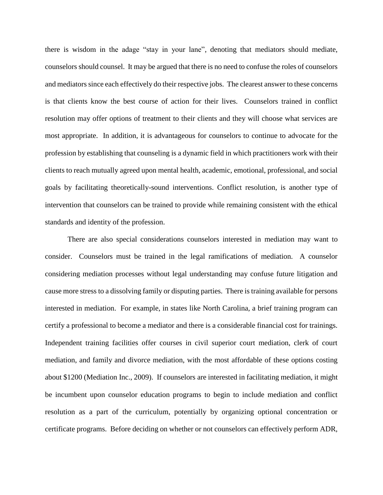there is wisdom in the adage "stay in your lane", denoting that mediators should mediate, counselors should counsel. It may be argued that there is no need to confuse the roles of counselors and mediators since each effectively do their respective jobs. The clearest answer to these concerns is that clients know the best course of action for their lives. Counselors trained in conflict resolution may offer options of treatment to their clients and they will choose what services are most appropriate. In addition, it is advantageous for counselors to continue to advocate for the profession by establishing that counseling is a dynamic field in which practitioners work with their clients to reach mutually agreed upon mental health, academic, emotional, professional, and social goals by facilitating theoretically-sound interventions. Conflict resolution, is another type of intervention that counselors can be trained to provide while remaining consistent with the ethical standards and identity of the profession.

There are also special considerations counselors interested in mediation may want to consider. Counselors must be trained in the legal ramifications of mediation. A counselor considering mediation processes without legal understanding may confuse future litigation and cause more stress to a dissolving family or disputing parties. There is training available for persons interested in mediation. For example, in states like North Carolina, a brief training program can certify a professional to become a mediator and there is a considerable financial cost for trainings. Independent training facilities offer courses in civil superior court mediation, clerk of court mediation, and family and divorce mediation, with the most affordable of these options costing about \$1200 (Mediation Inc., 2009). If counselors are interested in facilitating mediation, it might be incumbent upon counselor education programs to begin to include mediation and conflict resolution as a part of the curriculum, potentially by organizing optional concentration or certificate programs. Before deciding on whether or not counselors can effectively perform ADR,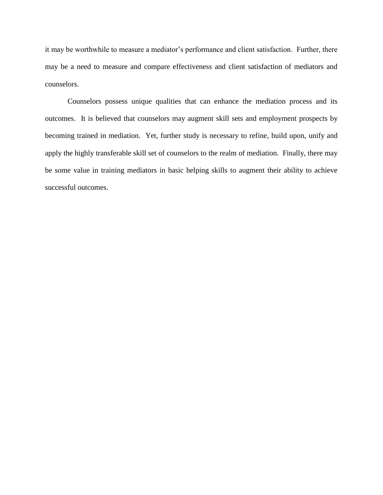it may be worthwhile to measure a mediator's performance and client satisfaction. Further, there may be a need to measure and compare effectiveness and client satisfaction of mediators and counselors.

Counselors possess unique qualities that can enhance the mediation process and its outcomes. It is believed that counselors may augment skill sets and employment prospects by becoming trained in mediation. Yet, further study is necessary to refine, build upon, unify and apply the highly transferable skill set of counselors to the realm of mediation. Finally, there may be some value in training mediators in basic helping skills to augment their ability to achieve successful outcomes.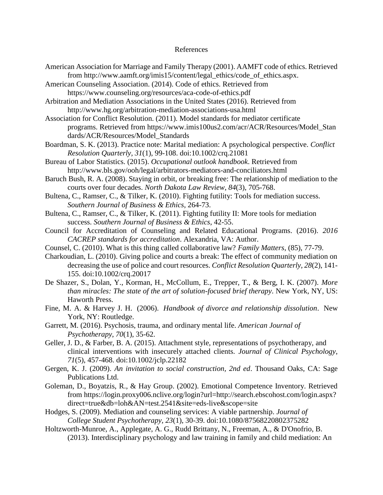#### References

- American Association for Marriage and Family Therapy (2001). AAMFT code of ethics. Retrieved from http://www.aamft.org/imis15/content/legal\_ethics/code\_of\_ethics.aspx.
- American Counseling Association. (2014). Code of ethics. Retrieved from <https://www.counseling.org/resources/aca-code-of-ethics.pdf>

Arbitration and Mediation Associations in the United States (2016). Retrieved from http://www.hg.org/arbitration-mediation-associations-usa.html

Association for Conflict Resolution. (2011). Model standards for mediator certificate programs. Retrieved from https://www.imis100us2.com/acr/ACR/Resources/Model\_Stan dards/ACR/Resources/Model\_Standards

- Boardman, S. K. (2013). Practice note: Marital mediation: A psychological perspective. *Conflict Resolution Quarterly, 31*(1), 99-108. doi:10.1002/crq.21081
- Bureau of Labor Statistics. (2015). *Occupational outlook handbook*. Retrieved from [http://www.bls.gov/ooh/legal/arbitrators-mediators-and-conciliators.html](http://www.bls.gov/ooh/legal/arbitrators-mediators-and-conciliators.htm)
- Baruch Bush, R. A. (2008). Staying in orbit, or breaking free: The relationship of mediation to the courts over four decades. *North Dakota Law Review*, *84*(3), 705-768.
- Bultena, C., Ramser, C., & Tilker, K. (2010). Fighting futility: Tools for mediation success. *Southern Journal of Business & Ethics*, 264-73.
- Bultena, C., Ramser, C., & Tilker, K. (2011). Fighting futility II: More tools for mediation success. *Southern Journal of Business & Ethics*, 42-55.
- Council for Accreditation of Counseling and Related Educational Programs. (2016). *2016 CACREP standards for accreditation*. Alexandria, VA: Author.
- Counsel, C. (2010). What is this thing called collaborative law? *Family Matters*, (85), 77-79.
- Charkoudian, L. (2010). Giving police and courts a break: The effect of community mediation on decreasing the use of police and court resources. *Conflict Resolution Quarterly, 28*(2), 141- 155. doi:10.1002/crq.20017
- De Shazer, S., Dolan, Y., Korman, H., McCollum, E., Trepper, T., & Berg, I. K. (2007). *More than miracles: The state of the art of solution-focused brief therapy*. New York, NY, US: Haworth Press.
- Fine, M. A. & Harvey J. H. (2006). *Handbook of divorce and relationship dissolution*. New York, NY: Routledge.
- Garrett, M. (2016). Psychosis, trauma, and ordinary mental life. *American Journal of Psychotherapy*, *70*(1), 35-62.
- Geller, J. D., & Farber, B. A. (2015). Attachment style, representations of psychotherapy, and clinical interventions with insecurely attached clients. *Journal of Clinical Psychology*, *71*(5), 457-468. doi:10.1002/jclp.22182
- Gergen, K. J. (2009). *An invitation to social construction, 2nd ed*. Thousand Oaks, CA: Sage Publications Ltd.
- Goleman, D., Boyatzis, R., & Hay Group. (2002). Emotional Competence Inventory. Retrieved from https://login.proxy006.nclive.org/login?url=http://search.ebscohost.com/login.aspx? direct=true&db=loh&AN=test.2541&site=eds-live&scope=site
- Hodges, S. (2009). Mediation and counseling services: A viable partnership. *Journal of College Student Psychotherapy, 23*(1), 30-39. doi:10.1080/87568220802375282
- Holtzworth-Munroe, A., Applegate, A. G., Rudd Brittany, N., Freeman, A., & D'Onofrio, B. (2013). Interdisciplinary psychology and law training in family and child mediation: An